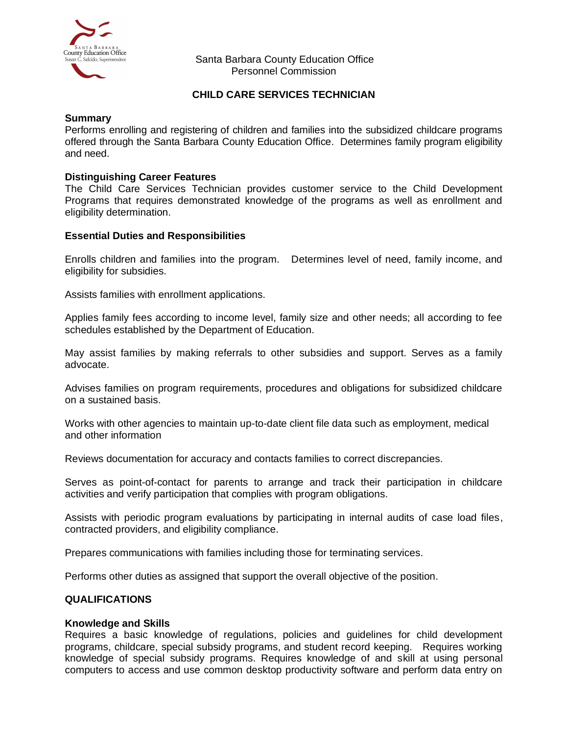

Santa Barbara County Education Office Personnel Commission

# **CHILD CARE SERVICES TECHNICIAN**

### **Summary**

Performs enrolling and registering of children and families into the subsidized childcare programs offered through the Santa Barbara County Education Office. Determines family program eligibility and need.

### **Distinguishing Career Features**

The Child Care Services Technician provides customer service to the Child Development Programs that requires demonstrated knowledge of the programs as well as enrollment and eligibility determination.

## **Essential Duties and Responsibilities**

Enrolls children and families into the program. Determines level of need, family income, and eligibility for subsidies.

Assists families with enrollment applications.

Applies family fees according to income level, family size and other needs; all according to fee schedules established by the Department of Education.

May assist families by making referrals to other subsidies and support. Serves as a family advocate.

Advises families on program requirements, procedures and obligations for subsidized childcare on a sustained basis.

Works with other agencies to maintain up-to-date client file data such as employment, medical and other information

Reviews documentation for accuracy and contacts families to correct discrepancies.

Serves as point-of-contact for parents to arrange and track their participation in childcare activities and verify participation that complies with program obligations.

Assists with periodic program evaluations by participating in internal audits of case load files, contracted providers, and eligibility compliance.

Prepares communications with families including those for terminating services.

Performs other duties as assigned that support the overall objective of the position.

### **QUALIFICATIONS**

### **Knowledge and Skills**

Requires a basic knowledge of regulations, policies and guidelines for child development programs, childcare, special subsidy programs, and student record keeping. Requires working knowledge of special subsidy programs. Requires knowledge of and skill at using personal computers to access and use common desktop productivity software and perform data entry on